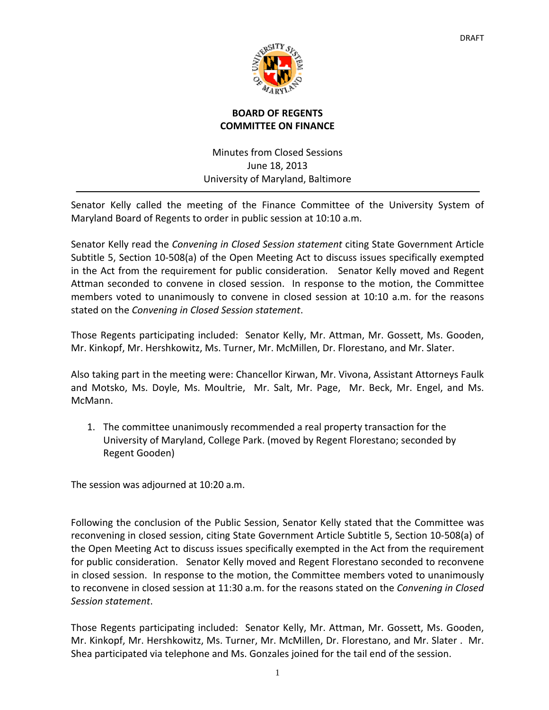

## **BOARD OF REGENTS COMMITTEE ON FINANCE**

Minutes from Closed Sessions June 18, 2013 University of Maryland, Baltimore

Senator Kelly called the meeting of the Finance Committee of the University System of Maryland Board of Regents to order in public session at 10:10 a.m.

Senator Kelly read the *Convening in Closed Session statement* citing State Government Article Subtitle 5, Section 10‐508(a) of the Open Meeting Act to discuss issues specifically exempted in the Act from the requirement for public consideration. Senator Kelly moved and Regent Attman seconded to convene in closed session. In response to the motion, the Committee members voted to unanimously to convene in closed session at 10:10 a.m. for the reasons stated on the *Convening in Closed Session statement*.

Those Regents participating included: Senator Kelly, Mr. Attman, Mr. Gossett, Ms. Gooden, Mr. Kinkopf, Mr. Hershkowitz, Ms. Turner, Mr. McMillen, Dr. Florestano, and Mr. Slater.

Also taking part in the meeting were: Chancellor Kirwan, Mr. Vivona, Assistant Attorneys Faulk and Motsko, Ms. Doyle, Ms. Moultrie, Mr. Salt, Mr. Page, Mr. Beck, Mr. Engel, and Ms. McMann.

1. The committee unanimously recommended a real property transaction for the University of Maryland, College Park. (moved by Regent Florestano; seconded by Regent Gooden)

The session was adjourned at 10:20 a.m.

Following the conclusion of the Public Session, Senator Kelly stated that the Committee was reconvening in closed session, citing State Government Article Subtitle 5, Section 10‐508(a) of the Open Meeting Act to discuss issues specifically exempted in the Act from the requirement for public consideration. Senator Kelly moved and Regent Florestano seconded to reconvene in closed session. In response to the motion, the Committee members voted to unanimously to reconvene in closed session at 11:30 a.m. for the reasons stated on the *Convening in Closed Session statement*.

Those Regents participating included: Senator Kelly, Mr. Attman, Mr. Gossett, Ms. Gooden, Mr. Kinkopf, Mr. Hershkowitz, Ms. Turner, Mr. McMillen, Dr. Florestano, and Mr. Slater . Mr. Shea participated via telephone and Ms. Gonzales joined for the tail end of the session.